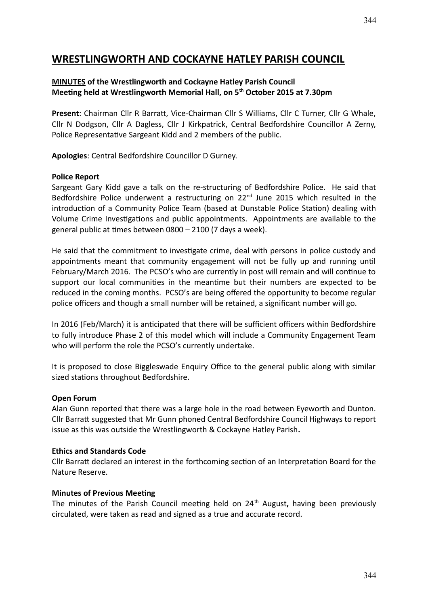# **WRESTLINGWORTH AND COCKAYNE HATLEY PARISH COUNCIL**

#### **MINUTES of the Wrestlingworth and Cockayne Hatley Parish Council Meeting held at Wrestlingworth Memorial Hall, on 5th October 2015 at 7.30pm**

**Present**: Chairman Cllr R Barratt, Vice-Chairman Cllr S Williams, Cllr C Turner, Cllr G Whale, Cllr N Dodgson, Cllr A Dagless, Cllr J Kirkpatrick, Central Bedfordshire Councillor A Zerny, Police Representative Sargeant Kidd and 2 members of the public.

**Apologies**: Central Bedfordshire Councillor D Gurney.

#### **Police Report**

Sargeant Gary Kidd gave a talk on the re-structuring of Bedfordshire Police. He said that Bedfordshire Police underwent a restructuring on  $22<sup>nd</sup>$  June 2015 which resulted in the introduction of a Community Police Team (based at Dunstable Police Station) dealing with Volume Crime Investigations and public appointments. Appointments are available to the general public at times between 0800 – 2100 (7 days a week).

He said that the commitment to investigate crime, deal with persons in police custody and appointments meant that community engagement will not be fully up and running until February/March 2016. The PCSO's who are currently in post will remain and will continue to support our local communities in the meantime but their numbers are expected to be reduced in the coming months. PCSO's are being offered the opportunity to become regular police officers and though a small number will be retained, a significant number will go.

In 2016 (Feb/March) it is anticipated that there will be sufficient officers within Bedfordshire to fully introduce Phase 2 of this model which will include a Community Engagement Team who will perform the role the PCSO's currently undertake.

It is proposed to close Biggleswade Enquiry Office to the general public along with similar sized stations throughout Bedfordshire.

#### **Open Forum**

Alan Gunn reported that there was a large hole in the road between Eyeworth and Dunton. Cllr Barratt suggested that Mr Gunn phoned Central Bedfordshire Council Highways to report issue as this was outside the Wrestlingworth & Cockayne Hatley Parish**.**

#### **Ethics and Standards Code**

Cllr Barratt declared an interest in the forthcoming section of an Interpretation Board for the Nature Reserve.

#### **Minutes of Previous Meeting**

The minutes of the Parish Council meeting held on 24<sup>th</sup> August, having been previously circulated, were taken as read and signed as a true and accurate record.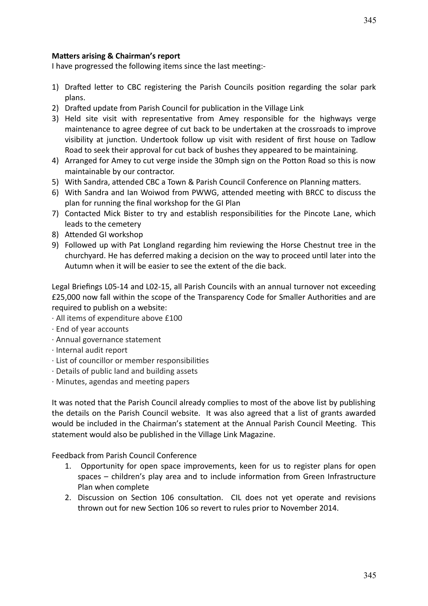I have progressed the following items since the last meeting:-

- 1) Drafted letter to CBC registering the Parish Councils position regarding the solar park plans.
- 2) Drafted update from Parish Council for publication in the Village Link
- 3) Held site visit with representative from Amey responsible for the highways verge maintenance to agree degree of cut back to be undertaken at the crossroads to improve visibility at junction. Undertook follow up visit with resident of first house on Tadlow Road to seek their approval for cut back of bushes they appeared to be maintaining.
- 4) Arranged for Amey to cut verge inside the 30mph sign on the Potton Road so this is now maintainable by our contractor.
- 5) With Sandra, attended CBC a Town & Parish Council Conference on Planning matters.
- 6) With Sandra and Ian Woiwod from PWWG, attended meeting with BRCC to discuss the plan for running the final workshop for the GI Plan
- 7) Contacted Mick Bister to try and establish responsibilities for the Pincote Lane, which leads to the cemetery
- 8) Attended GI workshop
- 9) Followed up with Pat Longland regarding him reviewing the Horse Chestnut tree in the churchyard. He has deferred making a decision on the way to proceed until later into the Autumn when it will be easier to see the extent of the die back.

Legal Briefings L05-14 and L02-15, all Parish Councils with an annual turnover not exceeding £25,000 now fall within the scope of the Transparency Code for Smaller Authorities and are required to publish on a website:

- · All items of expenditure above £100
- · End of year accounts
- · Annual governance statement
- · Internal audit report
- · List of councillor or member responsibilities
- · Details of public land and building assets
- · Minutes, agendas and meeting papers

It was noted that the Parish Council already complies to most of the above list by publishing the details on the Parish Council website. It was also agreed that a list of grants awarded would be included in the Chairman's statement at the Annual Parish Council Meeting. This statement would also be published in the Village Link Magazine.

Feedback from Parish Council Conference

- 1. Opportunity for open space improvements, keen for us to register plans for open spaces – children's play area and to include information from Green Infrastructure Plan when complete
- 2. Discussion on Section 106 consultation. CIL does not yet operate and revisions thrown out for new Section 106 so revert to rules prior to November 2014.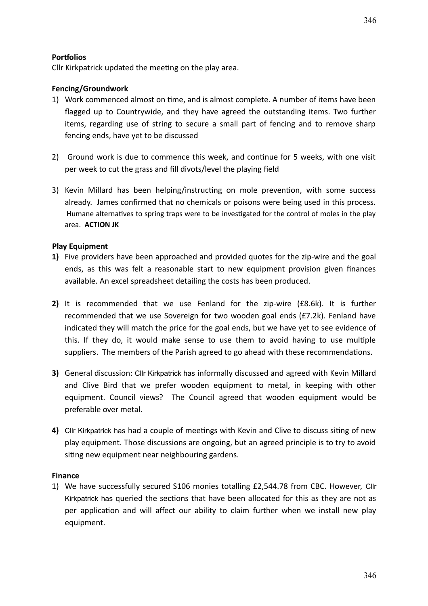## **Portfolios**

Cllr Kirkpatrick updated the meeting on the play area.

## **Fencing/Groundwork**

- 1) Work commenced almost on time, and is almost complete. A number of items have been flagged up to Countrywide, and they have agreed the outstanding items. Two further items, regarding use of string to secure a small part of fencing and to remove sharp fencing ends, have yet to be discussed
- 2) Ground work is due to commence this week, and continue for 5 weeks, with one visit per week to cut the grass and fill divots/level the playing field
- 3) Kevin Millard has been helping/instructing on mole prevention, with some success already. James confirmed that no chemicals or poisons were being used in this process. Humane alternatives to spring traps were to be investigated for the control of moles in the play area. **ACTION JK**

## **Play Equipment**

- **1)** Five providers have been approached and provided quotes for the zip-wire and the goal ends, as this was felt a reasonable start to new equipment provision given finances available. An excel spreadsheet detailing the costs has been produced.
- **2)** It is recommended that we use Fenland for the zip-wire (£8.6k). It is further recommended that we use Sovereign for two wooden goal ends (£7.2k). Fenland have indicated they will match the price for the goal ends, but we have yet to see evidence of this. If they do, it would make sense to use them to avoid having to use multiple suppliers. The members of the Parish agreed to go ahead with these recommendations.
- **3)** General discussion: Cllr Kirkpatrick has informally discussed and agreed with Kevin Millard and Clive Bird that we prefer wooden equipment to metal, in keeping with other equipment. Council views? The Council agreed that wooden equipment would be preferable over metal.
- **4)** Cllr Kirkpatrick has had a couple of meetings with Kevin and Clive to discuss siting of new play equipment. Those discussions are ongoing, but an agreed principle is to try to avoid siting new equipment near neighbouring gardens.

## **Finance**

1) We have successfully secured S106 monies totalling £2,544.78 from CBC. However, Cllr Kirkpatrick has queried the sections that have been allocated for this as they are not as per application and will affect our ability to claim further when we install new play equipment.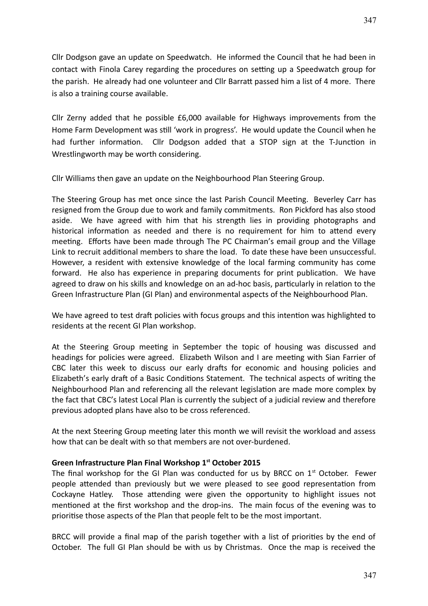Cllr Dodgson gave an update on Speedwatch. He informed the Council that he had been in contact with Finola Carey regarding the procedures on setting up a Speedwatch group for the parish. He already had one volunteer and Cllr Barratt passed him a list of 4 more. There is also a training course available.

Cllr Zerny added that he possible £6,000 available for Highways improvements from the Home Farm Development was still 'work in progress'. He would update the Council when he had further information. Cllr Dodgson added that a STOP sign at the T-Junction in Wrestlingworth may be worth considering.

Cllr Williams then gave an update on the Neighbourhood Plan Steering Group.

The Steering Group has met once since the last Parish Council Meeting. Beverley Carr has resigned from the Group due to work and family commitments. Ron Pickford has also stood aside. We have agreed with him that his strength lies in providing photographs and historical information as needed and there is no requirement for him to attend every meeting. Efforts have been made through The PC Chairman's email group and the Village Link to recruit additional members to share the load. To date these have been unsuccessful. However, a resident with extensive knowledge of the local farming community has come forward. He also has experience in preparing documents for print publication. We have agreed to draw on his skills and knowledge on an ad-hoc basis, particularly in relation to the Green Infrastructure Plan (GI Plan) and environmental aspects of the Neighbourhood Plan.

We have agreed to test draft policies with focus groups and this intention was highlighted to residents at the recent GI Plan workshop.

At the Steering Group meeting in September the topic of housing was discussed and headings for policies were agreed. Elizabeth Wilson and I are meeting with Sian Farrier of CBC later this week to discuss our early drafts for economic and housing policies and Elizabeth's early draft of a Basic Conditions Statement. The technical aspects of writing the Neighbourhood Plan and referencing all the relevant legislation are made more complex by the fact that CBC's latest Local Plan is currently the subject of a judicial review and therefore previous adopted plans have also to be cross referenced.

At the next Steering Group meeting later this month we will revisit the workload and assess how that can be dealt with so that members are not over-burdened.

#### **Green Infrastructure Plan Final Workshop 1st October 2015**

The final workshop for the GI Plan was conducted for us by BRCC on  $1<sup>st</sup>$  October. Fewer people attended than previously but we were pleased to see good representation from Cockayne Hatley. Those attending were given the opportunity to highlight issues not mentioned at the first workshop and the drop-ins. The main focus of the evening was to prioritise those aspects of the Plan that people felt to be the most important.

BRCC will provide a final map of the parish together with a list of priorities by the end of October. The full GI Plan should be with us by Christmas. Once the map is received the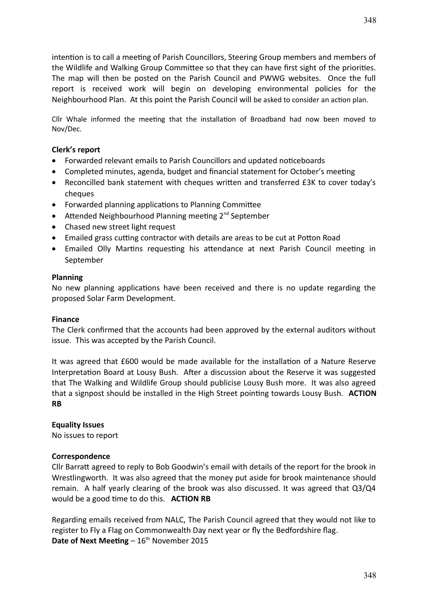intention is to call a meeting of Parish Councillors, Steering Group members and members of the Wildlife and Walking Group Committee so that they can have first sight of the priorities. The map will then be posted on the Parish Council and PWWG websites. Once the full report is received work will begin on developing environmental policies for the Neighbourhood Plan. At this point the Parish Council will be asked to consider an action plan.

Cllr Whale informed the meeting that the installation of Broadband had now been moved to Nov/Dec.

#### **Clerk's report**

- Forwarded relevant emails to Parish Councillors and updated noticeboards
- Completed minutes, agenda, budget and financial statement for October's meeting
- Reconcilled bank statement with cheques written and transferred £3K to cover today's cheques
- Forwarded planning applications to Planning Committee
- Attended Neighbourhood Planning meeting 2<sup>nd</sup> September
- Chased new street light request
- Emailed grass cutting contractor with details are areas to be cut at Potton Road
- Emailed Olly Martins requesting his attendance at next Parish Council meeting in September

#### **Planning**

No new planning applications have been received and there is no update regarding the proposed Solar Farm Development.

#### **Finance**

The Clerk confirmed that the accounts had been approved by the external auditors without issue. This was accepted by the Parish Council.

It was agreed that £600 would be made available for the installation of a Nature Reserve Interpretation Board at Lousy Bush. After a discussion about the Reserve it was suggested that The Walking and Wildlife Group should publicise Lousy Bush more. It was also agreed that a signpost should be installed in the High Street pointing towards Lousy Bush. **ACTION RB**

#### **Equality Issues**

No issues to report

#### **Correspondence**

Cllr Barratt agreed to reply to Bob Goodwin's email with details of the report for the brook in Wrestlingworth. It was also agreed that the money put aside for brook maintenance should remain. A half yearly clearing of the brook was also discussed. It was agreed that Q3/Q4 would be a good time to do this. **ACTION RB**

Regarding emails received from NALC, The Parish Council agreed that they would not like to register to Fly a Flag on Commonwealth Day next year or fly the Bedfordshire flag. **Date of Next Meeting –**  $16<sup>th</sup>$  **November 2015**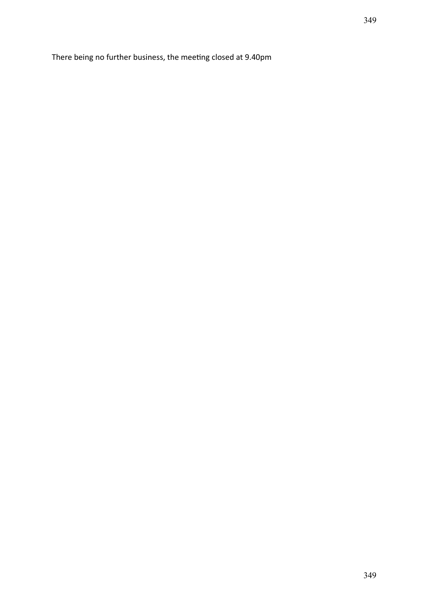There being no further business, the meeting closed at 9.40pm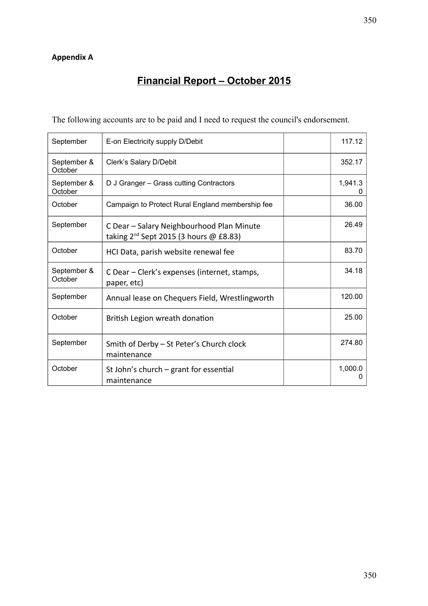# **Appendix A**

# **Financial Report – October 2015**

The following accounts are to be paid and I need to request the council's endorsement.

| September              | E-on Electricity supply D/Debit                                                          | 117.12       |
|------------------------|------------------------------------------------------------------------------------------|--------------|
| September &<br>October | Clerk's Salary D/Debit                                                                   | 352.17       |
| September &<br>October | D J Granger - Grass cutting Contractors                                                  | 1,941.3      |
| October                | Campaign to Protect Rural England membership fee                                         | 36.00        |
| September              | C Dear - Salary Neighbourhood Plan Minute<br>taking $2^{nd}$ Sept 2015 (3 hours @ £8.83) | 26.49        |
| October                | HCI Data, parish website renewal fee                                                     | 83.70        |
| September &<br>October | C Dear – Clerk's expenses (internet, stamps,<br>paper, etc)                              | 34.18        |
| September              | Annual lease on Chequers Field, Wrestlingworth                                           | 120.00       |
| October                | British Legion wreath donation                                                           | 25.00        |
| September              | Smith of Derby - St Peter's Church clock<br>maintenance                                  | 274.80       |
| October                | St John's church $-$ grant for essential<br>maintenance                                  | 1,000.0<br>0 |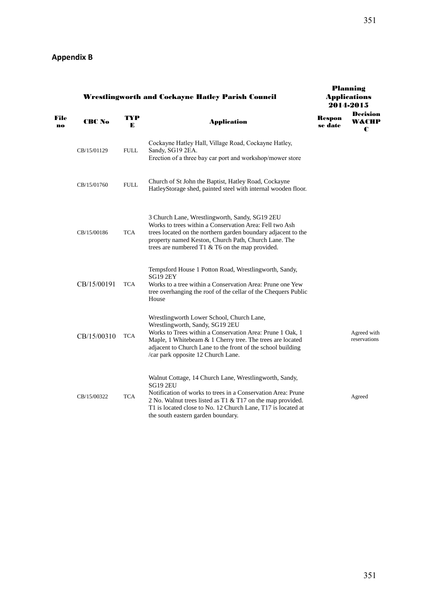|            | <b>Wrestlingworth and Cockayne Hatley Parish Council</b> |             | <b>Planning</b><br><b>Applications</b><br>2014-2015                                                                                                                                                                                                                                                           |                   |                               |  |  |  |
|------------|----------------------------------------------------------|-------------|---------------------------------------------------------------------------------------------------------------------------------------------------------------------------------------------------------------------------------------------------------------------------------------------------------------|-------------------|-------------------------------|--|--|--|
| File<br>no | <b>CBC No</b>                                            | TYP<br>Е    | <b>Application</b>                                                                                                                                                                                                                                                                                            | Respon<br>se date | <b>Decision</b><br>W&CHP<br>C |  |  |  |
|            | CB/15/01129                                              | <b>FULL</b> | Cockayne Hatley Hall, Village Road, Cockayne Hatley,<br>Sandy, SG19 2EA.<br>Erection of a three bay car port and workshop/mower store                                                                                                                                                                         |                   |                               |  |  |  |
|            | CB/15/01760                                              | <b>FULL</b> | Church of St John the Baptist, Hatley Road, Cockayne<br>HatleyStorage shed, painted steel with internal wooden floor.                                                                                                                                                                                         |                   |                               |  |  |  |
|            | CB/15/00186                                              | <b>TCA</b>  | 3 Church Lane, Wrestlingworth, Sandy, SG19 2EU<br>Works to trees within a Conservation Area: Fell two Ash<br>trees located on the northern garden boundary adjacent to the<br>property named Keston, Church Path, Church Lane. The<br>trees are numbered T1 & T6 on the map provided.                         |                   |                               |  |  |  |
|            | CB/15/00191                                              | <b>TCA</b>  | Tempsford House 1 Potton Road, Wrestlingworth, Sandy,<br><b>SG19 2EY</b><br>Works to a tree within a Conservation Area: Prune one Yew<br>tree overhanging the roof of the cellar of the Chequers Public<br>House                                                                                              |                   |                               |  |  |  |
|            | CB/15/00310                                              | <b>TCA</b>  | Wrestlingworth Lower School, Church Lane,<br>Wrestlingworth, Sandy, SG19 2EU<br>Works to Trees within a Conservation Area: Prune 1 Oak, 1<br>Maple, 1 Whitebeam & 1 Cherry tree. The trees are located<br>adjacent to Church Lane to the front of the school building<br>/car park opposite 12 Church Lane.   |                   | Agreed with<br>reservations   |  |  |  |
|            | CB/15/00322                                              | <b>TCA</b>  | Walnut Cottage, 14 Church Lane, Wrestlingworth, Sandy,<br><b>SG19 2EU</b><br>Notification of works to trees in a Conservation Area: Prune<br>2 No. Walnut trees listed as T1 & T17 on the map provided.<br>T1 is located close to No. 12 Church Lane, T17 is located at<br>the south eastern garden boundary. |                   | Agreed                        |  |  |  |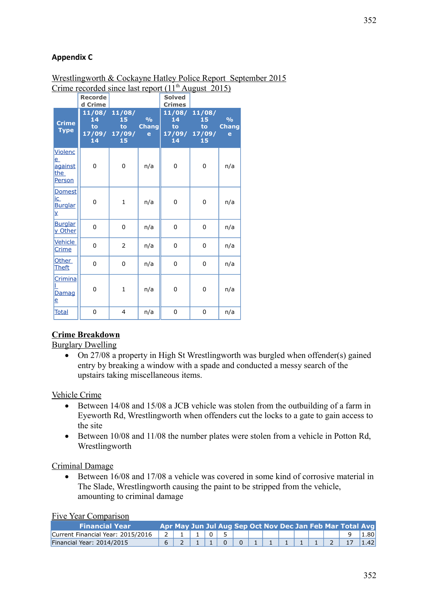# **Appendix C**

#### Wrestlingworth & Cockayne Hatley Police Report September 2015 Crime recorded since last report  $(11<sup>th</sup>$  August 2015)

|                                                       | <b>Recorde</b><br>d Crime           |                                    |                                               | <b>Solved</b><br><b>Crimes</b> |                                                  |                                    |
|-------------------------------------------------------|-------------------------------------|------------------------------------|-----------------------------------------------|--------------------------------|--------------------------------------------------|------------------------------------|
| <b>Crime</b><br><b>Type</b>                           | 11/08/<br>14<br>to:<br>17/09/<br>14 | 11/08/<br>15<br>to<br>17/09/<br>15 | $\frac{0}{0}$<br><b>Chang</b><br>$\mathbf{e}$ | 14<br>to:<br>14                | 11/08/ 11/08/<br>15<br>to<br>17/09/ 17/09/<br>15 | $\frac{0}{0}$<br><b>Chang</b><br>e |
| <b>Violenc</b><br>$e_{-}$<br>against<br>the<br>Person | 0                                   | 0                                  | n/a                                           | $\pmb{0}$                      | 0                                                | n/a                                |
| Domest<br>ic<br><b>Burglar</b><br>¥.                  | 0                                   | $\mathbf{1}$                       | n/a                                           | 0                              | 0                                                | n/a                                |
| <b>Burglar</b><br>y Other                             | 0                                   | 0                                  | n/a                                           | 0                              | 0                                                | n/a                                |
| Vehicle<br>Crime                                      | 0                                   | 2                                  | n/a                                           | 0                              | 0                                                | n/a                                |
| Other<br><u>Theft</u>                                 | 0                                   | 0                                  | n/a                                           | 0                              | 0                                                | n/a                                |
| Crimina<br>Damag<br>e                                 | 0                                   | $\mathbf{1}$                       | n/a                                           | 0                              | 0                                                | n/a                                |
| <b>Total</b>                                          | 0                                   | 4                                  | n/a                                           | $\mathbf 0$                    | 0                                                | n/a                                |

## **Crime Breakdown**

Burglary Dwelling

• On 27/08 a property in High St Wrestlingworth was burgled when offender(s) gained entry by breaking a window with a spade and conducted a messy search of the upstairs taking miscellaneous items.

#### Vehicle Crime

- Between 14/08 and 15/08 a JCB vehicle was stolen from the outbuilding of a farm in Eyeworth Rd, Wrestlingworth when offenders cut the locks to a gate to gain access to the site
- Between 10/08 and 11/08 the number plates were stolen from a vehicle in Potton Rd, Wrestlingworth

#### Criminal Damage

 Between 16/08 and 17/08 a vehicle was covered in some kind of corrosive material in The Slade, Wrestlingworth causing the paint to be stripped from the vehicle, amounting to criminal damage

#### Five Year Comparison

| <b>Financial Year</b>             |  |  |  |  |  |  | Apr May Jun Jul Aug Sep Oct Nov Dec Jan Feb Mar Total Avg |      |
|-----------------------------------|--|--|--|--|--|--|-----------------------------------------------------------|------|
| Current Financial Year: 2015/2016 |  |  |  |  |  |  |                                                           | 80   |
| Financial Year: 2014/2015         |  |  |  |  |  |  |                                                           | 1.42 |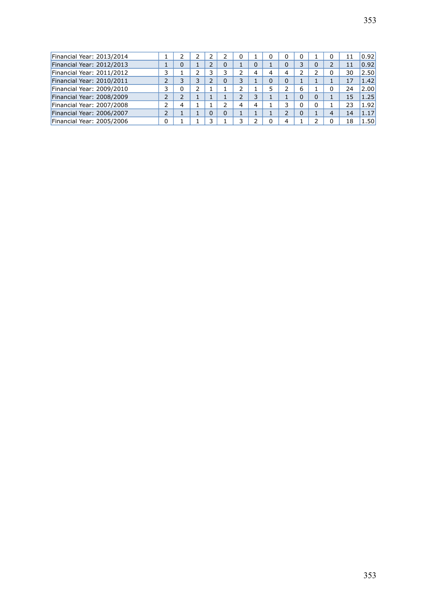| Financial Year: 2013/2014 |   |   |  |   | 0 |   | 0 | 0 | 0        | 0              | 11 | 0.92 |
|---------------------------|---|---|--|---|---|---|---|---|----------|----------------|----|------|
| Financial Year: 2012/2013 |   | 0 |  | 0 |   |   |   |   | っ        | 2              | 11 | 0.92 |
| Financial Year: 2011/2012 |   |   |  | っ |   |   | 4 | 4 |          | 0              | 30 | 2.50 |
| Financial Year: 2010/2011 |   | 3 |  | 0 | 3 |   | 0 | 0 |          |                | 17 | 1.42 |
| Financial Year: 2009/2010 | っ | 0 |  |   |   |   |   | h | 6        | 0              | 24 | 2.00 |
| Financial Year: 2008/2009 | 2 |   |  |   |   | ⊇ |   |   | $\Omega$ |                | 15 | 1.25 |
| Financial Year: 2007/2008 |   | 4 |  |   | 4 | 4 |   | 3 | 0        |                | 23 | 1.92 |
| Financial Year: 2006/2007 | っ |   |  | 0 |   |   |   | ∍ | 0        | $\overline{4}$ | 14 | 1.17 |
| Financial Year: 2005/2006 | 0 |   |  |   |   |   |   | 4 |          | $\Omega$       | 18 | 1.50 |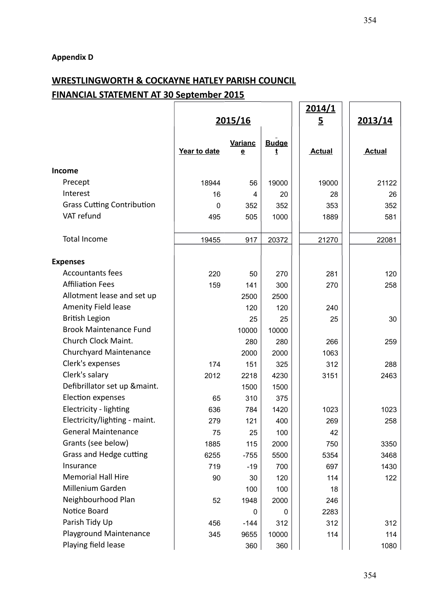# **WRESTLINGWORTH & COCKAYNE HATLEY PARISH COUNCIL FINANCIAL STATEMENT AT 30 September 2015**

|                                   |              | <u>2014/1</u>                       |                   |                |               |
|-----------------------------------|--------------|-------------------------------------|-------------------|----------------|---------------|
|                                   |              | 2015/16                             |                   | $\overline{5}$ | 2013/14       |
|                                   | Year to date | Varianc<br>$\underline{\mathbf{e}}$ | <b>Budge</b><br>t | <b>Actual</b>  | <b>Actual</b> |
| <b>Income</b>                     |              |                                     |                   |                |               |
| Precept                           | 18944        | 56                                  | 19000             | 19000          | 21122         |
| Interest                          | 16           | 4                                   | 20                | 28             | 26            |
| <b>Grass Cutting Contribution</b> | $\mathbf{0}$ | 352                                 | 352               | 353            | 352           |
| VAT refund                        | 495          | 505                                 | 1000              | 1889           | 581           |
| <b>Total Income</b>               | 19455        | 917                                 | 20372             | 21270          | 22081         |
| <b>Expenses</b>                   |              |                                     |                   |                |               |
| <b>Accountants fees</b>           | 220          | 50                                  | 270               | 281            | 120           |
| <b>Affiliation Fees</b>           | 159          | 141                                 | 300               | 270            | 258           |
| Allotment lease and set up        |              | 2500                                | 2500              |                |               |
| Amenity Field lease               |              | 120                                 | 120               | 240            |               |
| <b>British Legion</b>             |              | 25                                  | 25                | 25             | 30            |
| <b>Brook Maintenance Fund</b>     |              | 10000                               | 10000             |                |               |
| Church Clock Maint.               |              | 280                                 | 280               | 266            | 259           |
| Churchyard Maintenance            |              | 2000                                | 2000              | 1063           |               |
| Clerk's expenses                  | 174          | 151                                 | 325               | 312            | 288           |
| Clerk's salary                    | 2012         | 2218                                | 4230              | 3151           | 2463          |
| Defibrillator set up &maint.      |              | 1500                                | 1500              |                |               |
| Election expenses                 | 65           | 310                                 | 375               |                |               |
| Electricity - lighting            | 636          | 784                                 | 1420              | 1023           | 1023          |
| Electricity/lighting - maint.     | 279          | 121                                 | 400               | 269            | 258           |
| <b>General Maintenance</b>        | 75           | 25                                  | 100               | 42             |               |
| Grants (see below)                | 1885         | 115                                 | 2000              | 750            | 3350          |
| Grass and Hedge cutting           | 6255         | $-755$                              | 5500              | 5354           | 3468          |
| Insurance                         | 719          | $-19$                               | 700               | 697            | 1430          |
| <b>Memorial Hall Hire</b>         | 90           | 30                                  | 120               | 114            | 122           |
| Millenium Garden                  |              | 100                                 | 100               | 18             |               |
| Neighbourhood Plan                | 52           | 1948                                | 2000              | 246            |               |
| Notice Board                      |              | 0                                   | 0                 | 2283           |               |
| Parish Tidy Up                    | 456          | $-144$                              | 312               | 312            | 312           |
| Playground Maintenance            | 345          | 9655                                | 10000             | 114            | 114           |
| Playing field lease               |              | 360                                 | 360               |                | 1080          |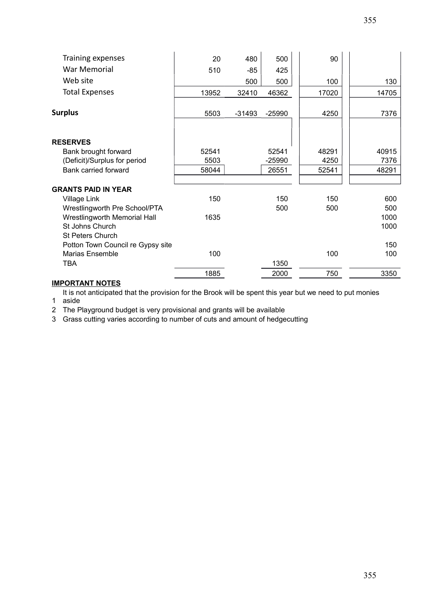| Training expenses                   | 20    | 480      | 500      | 90    |       |
|-------------------------------------|-------|----------|----------|-------|-------|
| War Memorial                        | 510   | -85      | 425      |       |       |
| Web site                            |       | 500      | 500      | 100   | 130   |
| <b>Total Expenses</b>               | 13952 | 32410    | 46362    | 17020 | 14705 |
| <b>Surplus</b>                      | 5503  | $-31493$ | $-25990$ | 4250  | 7376  |
|                                     |       |          |          |       |       |
| <b>RESERVES</b>                     |       |          |          |       |       |
| Bank brought forward                | 52541 |          | 52541    | 48291 | 40915 |
| (Deficit)/Surplus for period        | 5503  |          | $-25990$ | 4250  | 7376  |
| Bank carried forward                | 58044 |          | 26551    | 52541 | 48291 |
|                                     |       |          |          |       |       |
| <b>GRANTS PAID IN YEAR</b>          |       |          |          |       |       |
| Village Link                        | 150   |          | 150      | 150   | 600   |
| Wrestlingworth Pre School/PTA       |       |          | 500      | 500   | 500   |
| <b>Wrestlingworth Memorial Hall</b> | 1635  |          |          |       | 1000  |
| St Johns Church                     |       |          |          |       | 1000  |
| <b>St Peters Church</b>             |       |          |          |       |       |
| Potton Town Council re Gypsy site   |       |          |          |       | 150   |
| Marias Ensemble                     | 100   |          |          | 100   | 100   |
| TBA                                 |       |          | 1350     |       |       |
|                                     | 1885  |          | 2000     | 750   | 3350  |

# **IMPORTANT NOTES**

1 aside It is not anticipated that the provision for the Brook will be spent this year but we need to put monies

2 The Playground budget is very provisional and grants will be available

3 Grass cutting varies according to number of cuts and amount of hedgecutting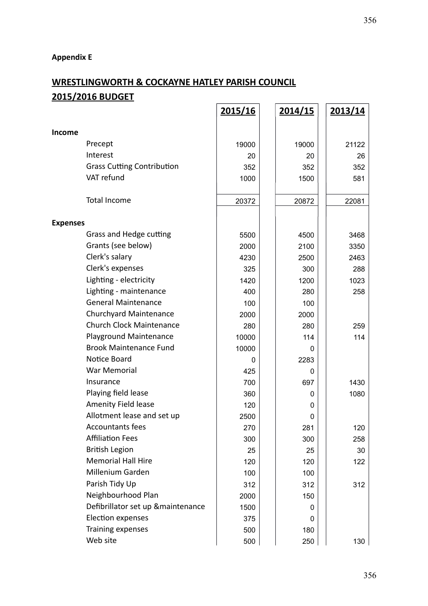# **Appendix E**

# **WRESTLINGWORTH & COCKAYNE HATLEY PARISH COUNCIL 2015/2016 BUDGET 2015/16 2014/15 2013/14**

|                 |                                   | <u>2015/16</u> | <u>2014/15</u> | <u>2013/14</u> |
|-----------------|-----------------------------------|----------------|----------------|----------------|
| Income          |                                   |                |                |                |
|                 | Precept                           | 19000          | 19000          | 21122          |
|                 | Interest                          | 20             | 20             | 26             |
|                 | <b>Grass Cutting Contribution</b> | 352            | 352            | 352            |
|                 | VAT refund                        | 1000           | 1500           | 581            |
|                 | <b>Total Income</b>               | 20372          | 20872          | 22081          |
| <b>Expenses</b> |                                   |                |                |                |
|                 | Grass and Hedge cutting           | 5500           | 4500           | 3468           |
|                 | Grants (see below)                | 2000           | 2100           | 3350           |
|                 | Clerk's salary                    | 4230           | 2500           | 2463           |
|                 | Clerk's expenses                  | 325            | 300            | 288            |
|                 | Lighting - electricity            | 1420           | 1200           | 1023           |
|                 | Lighting - maintenance            | 400            | 280            | 258            |
|                 | <b>General Maintenance</b>        | 100            | 100            |                |
|                 | <b>Churchyard Maintenance</b>     | 2000           | 2000           |                |
|                 | <b>Church Clock Maintenance</b>   | 280            | 280            | 259            |
|                 | Playground Maintenance            | 10000          | 114            | 114            |
|                 | <b>Brook Maintenance Fund</b>     | 10000          | 0              |                |
|                 | Notice Board                      | 0              | 2283           |                |
|                 | War Memorial                      | 425            | 0              |                |
|                 | Insurance                         | 700            | 697            | 1430           |
|                 | Playing field lease               | 360            | 0              | 1080           |
|                 | Amenity Field lease               | 120            | 0              |                |
|                 | Allotment lease and set up        | 2500           | 0              |                |
|                 | <b>Accountants fees</b>           | 270            | 281            | 120            |
|                 | <b>Affiliation Fees</b>           | 300            | 300            | 258            |
|                 | <b>British Legion</b>             | 25             | 25             | 30             |
|                 | <b>Memorial Hall Hire</b>         | 120            | 120            | 122            |
|                 | Millenium Garden                  | 100            | 100            |                |
|                 | Parish Tidy Up                    | 312            | 312            | 312            |
|                 | Neighbourhood Plan                | 2000           | 150            |                |
|                 | Defibrillator set up &maintenance | 1500           | 0              |                |
|                 | <b>Election expenses</b>          | 375            | 0              |                |
|                 | Training expenses                 | 500            | 180            |                |
|                 | Web site                          | 500            | 250            | 130            |